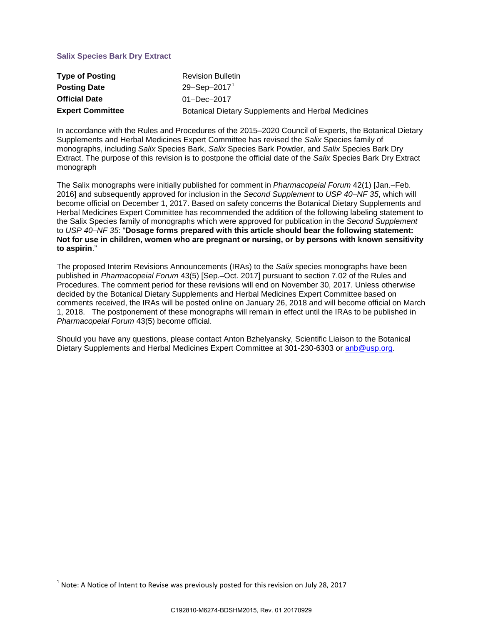# **Salix Species Bark Dry Extract**

| <b>Type of Posting</b>  | <b>Revision Bulletin</b>                                  |
|-------------------------|-----------------------------------------------------------|
| <b>Posting Date</b>     | 29-Sep-2017 <sup>1</sup>                                  |
| <b>Official Date</b>    | $01 - Dec - 2017$                                         |
| <b>Expert Committee</b> | <b>Botanical Dietary Supplements and Herbal Medicines</b> |

In accordance with the Rules and Procedures of the 2015–2020 Council of Experts, the Botanical Dietary Supplements and Herbal Medicines Expert Committee has revised the *Salix* Species family of monographs, including *Salix* Species Bark, *Salix* Species Bark Powder, and *Salix* Species Bark Dry Extract. The purpose of this revision is to postpone the official date of the *Salix* Species Bark Dry Extract monograph

The Salix monographs were initially published for comment in *Pharmacopeial Forum* 42(1) [Jan.–Feb. 2016] and subsequently approved for inclusion in the *Second Supplement* to *USP 40–NF 35*, which will become official on December 1, 2017. Based on safety concerns the Botanical Dietary Supplements and Herbal Medicines Expert Committee has recommended the addition of the following labeling statement to the Salix Species family of monographs which were approved for publication in the *Second Supplement* to *USP 40–NF 35*: "**Dosage forms prepared with this article should bear the following statement: Not for use in children, women who are pregnant or nursing, or by persons with known sensitivity to aspirin**."

The proposed Interim Revisions Announcements (IRAs) to the *Salix* species monographs have been published in *Pharmacopeial Forum* 43(5) [Sep.–Oct. 2017] pursuant to section 7.02 of the Rules and Procedures. The comment period for these revisions will end on November 30, 2017. Unless otherwise decided by the Botanical Dietary Supplements and Herbal Medicines Expert Committee based on comments received, the IRAs will be posted online on January 26, 2018 and will become official on March 1, 2018. The postponement of these monographs will remain in effect until the IRAs to be published in *Pharmacopeial Forum* 43(5) become official.

Should you have any questions, please contact Anton Bzhelyansky, Scientific Liaison to the Botanical Dietary Supplements and Herbal Medicines Expert Committee at 301-230-6303 or [anb@usp.org.](mailto:anb@usp.org)

<span id="page-0-0"></span> $1$  Note: A Notice of Intent to Revise was previously posted for this revision on July 28, 2017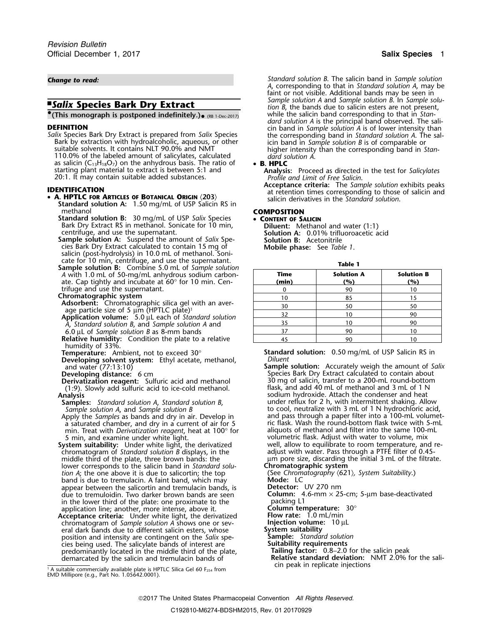Bark by extraction with hydroalcoholic, aqueous, or other<br>suitable solvents. It contains NLT 90.0% and NMT<br>110.0% of the labeled amount of salicylates, calculated higher intensity than the corresponding band in Stan-<br>110.0 110.0% of the labeled amount of salicylates, calculated *dard solution A*. as salicin  $(C_{13}H_{18}O_7)$  on the anhydrous basis. The ratio of **• B. HPLC**<br>starting plant material to extract is between 5:1 and **Analysi** 

- **Standard solution A:** 1.50 mg/mL of USP Salicin RS in methanol
	- **Standard solution B:** 30 mg/mL of USP *Salix* Species **CONTENT OF SALICIN** Bark Dry Extract RS in methanol. Sonicate for 10 min, **Diluent:** Methanol and water (1:1) centrifuge, and use the supernatant. **Solution A:** 0.01% trifluoroacetic acid
	- **Sample solution A:** Suspend the amount of *Salix* Spe- **Solution B:** Acetonitrile cies Bark Dry Extract calculated to contain 15 mg o<sup>f</sup> **Mobile phase:** See *Table 1*. salicin (post-hydrolysis) in 10.0 mL of methanol. Soni-
	- cate for 10 min, centrifuge, and use the supernatant. **Table 1 Sample solution B:** Combine 5.0 mL of *Sample solution A* with 1.0 mL of 50-mg/mL anhydrous sodium carbonate. Cap tightly and incubate at 60° for 10 min. Centrifuge and use the supernatant.

- **Adsorbent:** Chromatographic silica gel with an aver-  $\frac{30}{30}$  50 50 50 age particle size of 5  $\mu$ m (HPTLC plate)<sup>1</sup>
- <sup>32</sup> <sup>10</sup> <sup>90</sup> **Application volume:** 5.0 <sup>µ</sup>L each of *Standard solution <sup>A</sup>* <sup>35</sup> <sup>10</sup> <sup>90</sup> , *Standard solution B*, and *Sample solution A* and
- 6.0 µL of *Sample solution B* as 8-mm bands
- **Relative humidity:** Condition the plate to a relative humidity of 33%.<br>**Temperature:** Ambient, not to exceed 30°
- 
- **Developing solvent system:** Ethyl acetate, methanol, and water (77:13:10)
- 
- (1:9). Slowly add sulfuric acid to ice-cold methanol.<br>**Analysis**
- **Samples:** *Standard solution A, Standard solution B, Sample solution A, and Sample solution B*
- a saturated chamber, and dry in a current of air for 5 ric flask. Wash the round-bottom flask twice with 5-m<br>min. Treat with *Derivatization reggent*, heat at 100° for aliquots of methanol and filter into the same 100-mL min. Treat with *Derivatization reagent*, heat at 100° for 5 min, and examine under white light.
- **System suitability:** Under white light, the derivatized well, allow to equilibrate to room temperature, and rechromatogram of *Standard solution B* displays, in the adjust with water. Pass through a PTFE filter of 0.45 lower corresponds to the salicin band in *Standard solu-* **Chromatographic system** *tion A*; the one above it is due to salicortin; the top (See *Chromaton Suitably )*<br>band is due to tremulacin. A faint band, which may **Mode:** LC band is due to tremulacin. A faint band, which may **Mode:** LC<br>appear between the salicortin and tremulacin bands, is **Detector:** UV 270 nm<br>due to tremuloidin. Two darker brown bands are seen **Column:** 4.6-mm × 25-cm; 5-µm appear between the salicortin and tremulacin bands, is due to tremuloidin. Two darker brown bands are seen **Column:** 4.6-in the lower third of the plate: one proximate to the **COLUMI** in the lower third of the plate: one proximate to the  $\frac{1}{20^{\circ}}$  packing L1 application line; another, more intense, above it. **Column temperature**: 30°
- application line; another, more intense, above it. **Column temperature:**<br>**Acceptance criteria:** Under white light, the derivatized **Flow rate:** 1.0 mL/min **Acceptance criteria:** Under white light, the derivatized **Flow rate:** 1.0 mL/min chromatogram of *Sample solution A shows one or sev*- **Flow rate:** 10 µL chromatogram of *Sample solution A* shows one or sev-**<br>
Figure 10 lack bands due to different salicin esters, whose <b>System suitability** eral dark bands due to different salicin esters, whose **System suitability**<br>position and intensity are contingent on the *Salix* spe-<br>sample: *Standard solution*<br>cies being used. The salicylate bands of interest are **Suita** position and intensity are contingent on the *Salix* species being used. The salicylate bands of interest are **Suitability requirements** predominantly located in the middle third of the plate, demarcated by the salicin and tremulacin bands of

*Change to read: Standard solution B*. The salicin band in *Sample solution A*, corresponding to that in *Standard solution A*, may be faint or not visible. Additional bands may be seen in **Sample solution A** and *Sample solution A* and *Sample solution B.* In *Sample solu- sample solu- sample solu- sample solu- sample solu- sample solu- sample solu- sample solu- sample solu- sample solu tion B*, the bands due to salicin esters are not present, while the salicin band corresponding to that in *Stan-***(This monograph is postponed indefinitely.).** (RB 1-Dec-2017) While the salicin band corresponding to that in *Stan-***EXAMPLE SERVIS CONSUMERS A SURFACE OF A SURFACE OF A SURFACE OF A SURFACE OF A SURFACE OF A SURFACE OF A SURFACE OF SURFACE OF A SURFACE OF SURFACE OF SURFACE OF SURFACE OF SURFACE OF SURFACE OF SURFACE OF SURFACE OF SURF** 

starting plant material to extract is between 5:1 and **Analysis:** Proceed as directed in the test for *Salicylates* 20:1. It may contain suitable added substances. *Profile and Limit of Free Salicin*. **Acceptance criteria:** The *Sample solution* exhibits peaks **IDENTIFICATION**<br> **A. HPTLC FOR ARTICLES OF BOTANICAL ORIGIN** (203)<br> **A. HPTLC FOR ARTICLES OF BOTANICAL ORIGIN** (203)

# methanol **COMPOSITION**

| <b>Sample solution B:</b> Combine 5.0 mL of Sample solution    |       |                   |                   |
|----------------------------------------------------------------|-------|-------------------|-------------------|
| A with 1.0 mL of 50-mg/mL anhydrous sodium carbon-             | Time  | <b>Solution A</b> | <b>Solution B</b> |
| ate. Cap tightly and incubate at $60^{\circ}$ for 10 min. Cen- | (min) | (%)               | (%)               |
| trifuge and use the supernatant.                               |       | 90                |                   |
| Chromatographic system                                         |       | 85                |                   |
| Adsorbent: Chromatographic silica gel with an aver-            | 30    | 50                |                   |
| age particle size of 5 $\mu$ m (HPTLC plate) <sup>1</sup>      | 32    | 10                | 90                |
| Application volume: 5.0 µL each of Standard solution           |       |                   |                   |
| A, Standard solution B, and Sample solution A and              | 35    |                   | 90                |
| 6.0 $\mu$ L of <i>Sample solution B</i> as 8-mm bands          | 37    | 90                |                   |
| <b>Relative humidity:</b> Condition the plate to a relative    |       | 90                |                   |

**Standard solution:** 0.50 mg/mL of USP Salicin RS in<br>Diluent

and water (77:13:10) **Sample solution:** Accurately weigh the amount of *Salix* **Developing distance:** 6 cm Species Bark Dry Extract calculated to contain about **Derivatization reagent:** Sulfuric acid and methanol **30** mg of salicin, transfer to a 200-mL round-bottom (1:9). Slowly add sulfuric acid to ice-cold methanol. (1:9). Slowly add sulfuric acid to ice-cold methanol. sodium hydroxide. Attach the condenser and heat under reflux for 2 h, with intermittent shaking. Allow *Sample solution A*, and *Sample solution B* to cool, neutralize with 3 mL of 1 N hydrochloric acid, and pass through a paper filter into a 100-mL volumet-<br>ric flask. Wash the round-bottom flask twice with 5-mL volumetric flask. Adjust with water to volume, mix<br>well, allow to equilibrate to room temperature, and remiddle third of the plate, three brown bands: the um pore size, discarding the initial 3 mL of the filtrate.<br>I chromatographic system

- 
- 

**Relative standard deviation:** NMT 2.0% for the salicin peak in replicate injections

cin peak in replicate injections 1. A suitable commercially available plate is HPTLC Silica Gel 60 F254 from EMD Millipore (e.g., Part No. 1.05642.0001).